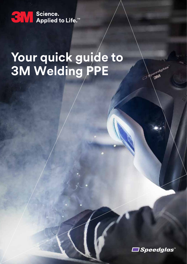

# **Your quick guide to 3M Welding PPE**



Jegelais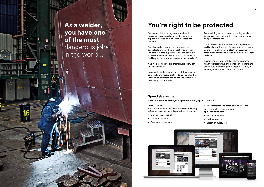Our society is becoming ever more healthconscious as science becomes better able to explain the cause-and-effect of diseases and ailments.

Conditions that used to be considered as acceptable are now being questioned by many welders. Welding supervisors need to seriously review the work environment and ask themselves: "Will my shop attract and keep the best welders?

And welders need to ask themselves: "How can I protect my health?"

In general it is the responsibility of the employer to identify any hazard that are to be found in the working environment and to provide the workers with adequate protection.

## **You're right to be protected**

## **Speedglas online**

**Direct access to knowledge, via your computer, laptop or mobile:**

### **www.3M.com**

Access our latest news, learn more about welding safety and explore the online product catalogue:

- Quick product search
- Compare products
- Download information



Use your smartphone or tablet to explore the new Speedglas product guide **app.speedglas.com**

- Product overview
- Sort by feature
- Selection guide, etc.

Each welding job is different and this guide is to be seen as a summary of the welding protective equipment from 3M.

Comprehensive information about regulations and ligislation, limits etc. is often specific to each country. The choice of protective equipment is often made after consultation between employers and users.

Always contact your safety engineer, company health representative or other experts if there are any doubts or unclear points regarding safety of working environment or choice of product.

## **As a welder, you have one of the most**  dangerous jobs in the world…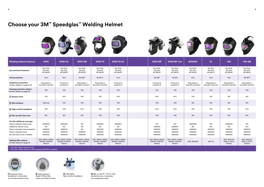| <b>Welding helmet features</b>                                                                                                                                                    | 9100                                                  | 9100-Air                                              | 9100-QR                                                   | 9100 FX                                               | <b>9100 FX-Air</b>                                    | 9100 MP                                               | 9100 MP-Lite                                          | <b>9002NC</b>                                         | <b>SL</b>                                         | 100                                                   | <b>100-QR</b>                                           |
|-----------------------------------------------------------------------------------------------------------------------------------------------------------------------------------|-------------------------------------------------------|-------------------------------------------------------|-----------------------------------------------------------|-------------------------------------------------------|-------------------------------------------------------|-------------------------------------------------------|-------------------------------------------------------|-------------------------------------------------------|---------------------------------------------------|-------------------------------------------------------|---------------------------------------------------------|
| <b>Eye and Face Protection</b>                                                                                                                                                    | EN 175:B,<br>EN 379,<br><b>EN 166:BT</b>              | EN 175:B,<br>EN 379,<br><b>EN 166:BT</b>              | EN 175:B,<br>EN 379,<br><b>EN 166:BT</b>                  | EN 175:B,<br>EN 379,<br><b>EN 166:BT</b>              | EN 175:B,<br>EN 379,<br><b>EN 166:BT</b>              | EN 175:B,<br>EN 379,<br><b>EN 166:BT</b>              | EN 175:B,<br>EN 379,<br>EN 166:BT                     | EN 175:B,<br>EN 379,<br><b>EN 166:BT</b>              | <b>EN 175:F</b><br>EN 379,<br><b>EN 166:FT</b>    | EN 175:B,<br>EN 379,<br><b>EN 166:BT</b>              | EN 175:B,<br>EN 379,<br><b>EN 166:BT</b>                |
| <b>Head protection</b>                                                                                                                                                            | N/A                                                   | N/A                                                   | EN 397*                                                   | EN 397**                                              | N/A                                                   | EN 397                                                | <b>EN 812</b>                                         | N/A                                                   | N/A                                               | N/A                                                   | EN 397*                                                 |
| <b>Respiratory protection</b><br>(further details on page 8-9)                                                                                                                    | Disposable or<br>resusable respirator                 | Powered or<br>supplied air                            | Disposable or<br>resusable respirator                     | Disposable or<br>resusable respirator                 | Powered or<br>supplied air                            | Powered or<br>supplied air                            | Powered or<br>supplied air                            | Disposable or<br>resusable respirator                 | Disposable or<br>resusable respirator             | Disposable or<br>resusable respirator                 | Disposable or<br>resusable respirator                   |
| <b>Hearing protection options</b><br>(further details on page 12)                                                                                                                 | YES                                                   | YES                                                   | YES                                                       | YES                                                   | YES                                                   | YES                                                   | <b>YES</b>                                            | <b>YES</b>                                            | YES                                               | YES                                                   | YES                                                     |
| 1 Exhaust vents                                                                                                                                                                   | YES                                                   | N/A                                                   | YES                                                       | YES                                                   | N/A                                                   | N/A                                                   | N/A                                                   | <b>YES</b>                                            | <b>NO</b>                                         | <b>NO</b>                                             | <b>NO</b>                                               |
| 2 Side windows                                                                                                                                                                    | Optional                                              | YES                                                   | YES                                                       | YES                                                   | YES                                                   | YES                                                   | YES                                                   | <b>NO</b>                                             | <b>NO</b>                                         | <b>NO</b>                                             | <b>NO</b>                                               |
| 3 High-comfort headband                                                                                                                                                           | <b>YES</b>                                            | <b>YES</b>                                            | N/A                                                       | YES                                                   | YES                                                   | N/A                                                   | N/A                                                   | <b>YES</b>                                            | YES                                               | <b>YES</b>                                            | N/A                                                     |
| 4 Flip-up with clear visor                                                                                                                                                        | <b>NO</b>                                             | <b>NO</b>                                             | <b>NO</b>                                                 | YES                                                   | YES                                                   | YES                                                   | YES                                                   | <b>NO</b>                                             | <b>NO</b>                                         | <b>NO</b>                                             | <b>NO</b>                                               |
| Part No additional coverage:<br>Flame-retardant head cover<br>Reflective helmet cover<br>Flame-retardant neck protection<br>Flame-retardant hood<br>Ear and neck cover in leather | #169005<br><b>NO</b><br>#169010<br>#169100<br>#164005 | #169005<br><b>NO</b><br>#169010<br>#169100<br>#164005 | <b>NO</b><br><b>NO</b><br><b>NO</b><br>#169100<br>#164005 | #169007<br><b>NO</b><br>#169010<br>#169100<br>#164005 | #169007<br><b>NO</b><br>#169010<br>#169100<br>#164005 | <b>NO</b><br>#169014<br>#169015<br>#169100<br>#164005 | <b>NO</b><br>#169014<br>#169015<br>#169100<br>#164005 | #164009<br><b>NO</b><br>#169001<br>#169100<br>#164005 | NO.<br><b>NO</b><br>#169001<br>#169100<br>#164005 | #164009<br><b>NO</b><br>#169001<br>#169100<br>#164005 | <b>NO</b><br><b>NO</b><br>#169001<br>#169100<br>#164005 |
| <b>Welding filter options</b><br>(further details on page 6)                                                                                                                      | ADF: 9100V, 9100X,<br>9100XX, 9100XXi<br>Passive      | ADF: 9100V, 9100X,<br>9100XX, 9100XXi<br>Passive      | ADF: 9100V, 9100X,<br>9100XX, 9100XXi<br>Passive          | ADF: 9100V, 9100X,<br>9100XX, 9100XXi<br>Passive      | ADF: 9100V, 9100X,<br>9100XX, 9100XXi<br>Passive      | ADF: 9100V, 9100X,<br>9100XX, 9100XXi<br>Passive      | ADF: 9100V, 9100X,<br>9100XX, 9100XXi<br>Passive      | ADF: 9002NC                                           | ADF: SL                                           | ADF: 100S-10,<br>100S-11, 100-V<br>Passive            | ADF: 100S-10,<br>100S-11, 100-V<br>Passive              |



**4** Big, curved 17 × 10 cm clear protective visor, increasing your peripherial vision.





 \* with 3M™ Safety Helmet H-701. \*\* with 3M™ Safety Helmet G-3001 (adapter #197136 is needed).



## **Choose your 3M™ Speedglas™ Welding Helmet**



**1** Exahaust vents exhaled air is channeled out via side exhaust vents.

**2** Side windows  shade 5 filters that widen your field of vision.



**3** Adjustable high-comfort headband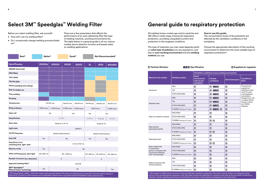## **Select 3M™ Speedglas™ Welding Filter**

Before you select welding filter, ask yourself:

- How will I use my welding filter?
- Do I occasionally change welding process/shade no?

## **General guide to respiratory protection**

There are a few parameters that affects the performance of an auto-darkening filter like type of welding machine, working environments etc. The table below is a general guide to all our various models due to detector function and based solely on welding applications.

All welding fumes contain gas and/or particles and 3M offers a wide range of personal respiratory protection, providing unequalled comfort and protection in the toughest conditions.

The type of respirator you may need depends partly on **what type of pollution** you are exposed to, and also to **your working environment** and the **welding method** you use.

### **How to use this guide:**

The concentration levels of the pollutants are affected by the ventilation conditions in the workplace.

Choose the appropriate description of the working environment to determine the most suitable type of respiratory protection\*.

| Best*                                                                                                                                                                                                                                                                        | Better*    |             |       | Good*                |                 | Not Recommended*     |                         |            |  |
|------------------------------------------------------------------------------------------------------------------------------------------------------------------------------------------------------------------------------------------------------------------------------|------------|-------------|-------|----------------------|-----------------|----------------------|-------------------------|------------|--|
| <b>Specification</b>                                                                                                                                                                                                                                                         | 9100XXi    | 9100XX      |       | 9100X                | 9100V           | <b>SL</b>            | <b>100V</b>             | 9002NC     |  |
| <b>MMAW</b> (electrode)                                                                                                                                                                                                                                                      |            |             |       |                      |                 |                      |                         |            |  |
| <b>MIG/MAG</b>                                                                                                                                                                                                                                                               |            |             |       |                      |                 |                      |                         |            |  |
| <b>TIG (&gt;20A)</b>                                                                                                                                                                                                                                                         |            |             |       |                      |                 |                      |                         |            |  |
| <b>TIG (1A-20A)</b>                                                                                                                                                                                                                                                          |            |             |       |                      |                 |                      |                         |            |  |
| Plasma (welding and cutting)                                                                                                                                                                                                                                                 |            |             |       |                      |                 |                      |                         |            |  |
| <b>Risk for hidden arc</b>                                                                                                                                                                                                                                                   |            |             |       |                      |                 |                      |                         |            |  |
| <b>Tack welding</b>                                                                                                                                                                                                                                                          |            |             |       |                      |                 |                      |                         |            |  |
| Grinding                                                                                                                                                                                                                                                                     |            |             |       |                      |                 |                      |                         |            |  |
| Viewing area                                                                                                                                                                                                                                                                 |            | 73×107 mm   |       | 54×107 mm            | 45×93 mm        | 42×93 mm<br>44×93 mm |                         | 55×107 mm  |  |
| <b>Battery lifetime</b>                                                                                                                                                                                                                                                      | 1800 hours | 2 000 hours |       | 2 500 hours          | 2 800 hours     | <b>1500 hours</b>    |                         | 2000 hours |  |
| Solar cell                                                                                                                                                                                                                                                                   |            | No          |       |                      | Yes             | No                   |                         | No         |  |
| Classification                                                                                                                                                                                                                                                               |            |             | 1/1/1 |                      |                 | 1/1/1                | 1/2/2                   | 1/1/1      |  |
| Dark state                                                                                                                                                                                                                                                                   |            |             |       | Shade 5, 8, 9-13     |                 | Shade 8-12           |                         |            |  |
| <b>Light state</b>                                                                                                                                                                                                                                                           |            |             |       |                      | Shade 3         |                      |                         |            |  |
| <b>UV/IR Protection</b>                                                                                                                                                                                                                                                      |            |             |       | Shade 13 (permanent) |                 |                      | Shade 12 (permanent)    |            |  |
| Auto ON                                                                                                                                                                                                                                                                      | Yes        |             |       | No                   |                 | Yes                  |                         | No         |  |
| Sensitivity of arc<br>switching time, light -dark                                                                                                                                                                                                                            |            |             |       |                      | 0,1 ms (+23° C) |                      |                         |            |  |
| Memory mode                                                                                                                                                                                                                                                                  | Yes        |             |       |                      | No              |                      |                         |            |  |
| Delay switching time, dark-light                                                                                                                                                                                                                                             | 40-800 ms  |             |       | 40-1300 ms           |                 |                      | 60-250 ms $ $ 40-250 ms | 60-400 ms  |  |
| Number of sensors (arc detection)                                                                                                                                                                                                                                            |            |             | 3     |                      |                 |                      | $\overline{2}$          |            |  |
| Approval (welding filter)                                                                                                                                                                                                                                                    |            |             |       |                      | <b>EN 379</b>   |                      |                         |            |  |
| 3M™ Speedglas™<br><b>Natural Colour Technology</b>                                                                                                                                                                                                                           | Yes        | No          |       |                      |                 |                      | Yes                     |            |  |
| * The ratings (good - better - best) above refer to the products listed in this chart and should be seen as general recommendations based on<br>differences in product comfort features and configuration options when using these selected Speedglas welding helmet series. |            |             |       |                      |                 |                      |                         |            |  |

|                                               |                              | Ventilation conditions of your working environment |                               |                         |                                     |  |  |
|-----------------------------------------------|------------------------------|----------------------------------------------------|-------------------------------|-------------------------|-------------------------------------|--|--|
| <b>Material to be welded</b>                  | <b>Welding method</b>        | Good<br>environment,<br>with forced<br>ventilation | <b>Limited</b><br>ventilation | <b>Restricted space</b> | <b>Classified as</b><br><b>IDLH</b> |  |  |
|                                               | <b>MIG</b>                   | $\boxed{\mathsf{P}}$                               | $P + A B E$                   | $\vert$ S $\vert$       | Powered and<br>supplied air         |  |  |
| Aluminium                                     | <b>TIG</b>                   | $\blacksquare$                                     | $P + A B E$                   | $\overline{s}$          | respirators must<br>never be used   |  |  |
|                                               | <b>STICK WELDING</b>         | $\boxed{\mathsf{P}}$                               | $P + A B E$                   | $\boxed{\mathbf{S}}$    | in atmospheres                      |  |  |
| Stainless steel                               | <b>MIG</b>                   | $\boxed{\mathbf{P}}$                               | $P + ABE$                     | $\boxed{\mathbf{S}}$    | Immediately<br>Dangerous to Life    |  |  |
|                                               | <b>TIG</b>                   | $\boxed{P}$                                        | $P + A B E$                   | $\boxed{\mathbf{S}}$    | or Health (IDLH).<br>Always consult |  |  |
|                                               | <b>STICK WELDING</b>         | $\boxed{P}$                                        | $P + A B E$                   | $\sqrt{S}$              | your Safety<br>Engineer.            |  |  |
|                                               | PLASMA (Welding and Cutting) | $\boxed{P}$                                        | $P + A B E / S$               | $\sqrt{s}$              |                                     |  |  |
|                                               | MIG/MAG                      | $\boxed{\mathbf{P}}$                               | $\boxed{\mathbf{P}}$          | $\boxed{\mathbf{S}}$    |                                     |  |  |
| Steel not coated or painted                   | <b>STICK WELDING</b>         | $\boxed{\mathsf{P}}$                               | $\boxed{\mathbf{P}}$          | $\vert S \vert$         |                                     |  |  |
|                                               | PLASMA (Welding and Cutting) | $\mathbf{P}$                                       | P/S                           | $\boxed{\mathbf{S}}$    |                                     |  |  |
|                                               | MIG/MAG                      | $\boxed{\mathsf{P}}$                               | $\boxed{P}$                   | $\sqrt{s}$              |                                     |  |  |
| Steel painted<br>(lead based paints)          | <b>STICK WELDING</b>         | $\boxed{\mathbf{P}}$                               | $\boxed{\mathbf{P}}$          | $\boxed{\mathbf{S}}$    |                                     |  |  |
|                                               | PLASMA (Welding and Cutting) | $\boxed{P}$                                        | P/I                           | $\boxed{\mathbf{S}}$    |                                     |  |  |
|                                               | MIG/MAG                      | $\boxed{\mathsf{P}}$                               | $\boxed{\mathbf{P}}$          | $\boxed{\mathbf{S}}$    |                                     |  |  |
| Steel galvanised                              | <b>STICK WELDING</b>         | $\boxed{\mathsf{P}}$                               | $\boxed{\mathbf{P}}$          | $\vert$ S $\vert$       |                                     |  |  |
|                                               | PLASMA (Welding and Cutting) | $\boxed{\mathsf{P}}$                               | P/S                           | $\overline{\mathbf{s}}$ |                                     |  |  |
| Steel coated with                             | MIG/MAG                      | $\boxed{\mathbf{S}}$                               | $\boxed{S}$                   | $\vert S \vert$         |                                     |  |  |
| 2-component<br>paints or insulated with       | <b>STICK WELDING</b>         | $\boxed{\mathbf{S}}$                               | $\boxed{S}$                   | $\boxed{\mathbf{S}}$    |                                     |  |  |
| 2-part polyurethanes<br>(risk of isocyanates) | PLASMA (Welding and Cutting) | $\sqrt{S}$                                         | $\boxed{S}$                   | $\boxed{\mathbf{S}}$    |                                     |  |  |
|                                               | <b>MIG</b>                   | $\overline{s}$                                     | $\vert s \vert$               | $\vert s \vert$         |                                     |  |  |
| Material cleaned with                         | <b>TIG</b>                   | $\boxed{\mathsf{S}}$                               | $\sqrt{s}$                    | $\boxed{\mathsf{S}}$    |                                     |  |  |
| trichloroethylene                             | <b>STICK WELDING</b>         | $\overline{\mathbf{s}}$                            | $\overline{\mathbf{s}}$       | $\overline{\mathbf{s}}$ |                                     |  |  |
|                                               | PLASMA (Welding and Cutting) | $\vert s \vert$                                    | $\overline{\mathbf{s}}$       | $\vert$ S               |                                     |  |  |

focus on the most appropriate respirators in the 3M range for particular applications. It should not be used as the only means of selecting a respirator. Details regarding performance and limitations are setout on the respirator packaging and user instructions.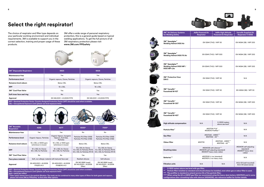

## **Select the right respirator!**

The choice of respirator and filter type depends on your particular working environment and individual requirements. 3M is available to support you in the correct selection, training and proper usage of these products.

3M offer a wide range of personal respiratory protection, this is a general guide based on typical welding applications. To get the full picture of all 3M respiratory protection please visit **www.3M.com/PPEsafety**





| <b>3M™ Reusable</b><br><b>Respirators</b> | 4255                                                                                                      | 4277                                                                                            | 6500*                                                                                | 7500*                                                                                |  |
|-------------------------------------------|-----------------------------------------------------------------------------------------------------------|-------------------------------------------------------------------------------------------------|--------------------------------------------------------------------------------------|--------------------------------------------------------------------------------------|--|
| Maintenance-free                          | Yes                                                                                                       | Yes                                                                                             | No                                                                                   | No                                                                                   |  |
| Performance level                         | Organic Vapour, Particles                                                                                 | Organic Vapour, Inorganic<br>Vapours, Acid Gas,<br><b>Particles</b>                             | Particles P2 (Filter 2128)<br>Particles P3 (Filter 2138)                             | Particles P2 (Filter 2128)<br>Particles P3 (Filter 2138)                             |  |
| Nuisance level odours                     | 10 x OEL or 1000 ppm<br>10 x OEL or 5000 ppm<br>(whichever is lower)<br>(whichever is lower)              |                                                                                                 | <b>Below OEL</b>                                                                     | <b>Below OEL</b>                                                                     |  |
| <b>NPF</b>                                | 10 x OEL for Ozone<br>50 x OEL for Particles                                                              | 10 x OEL for Ozone<br>50 x OEL for Particles                                                    | 10 x OEL for Ozone<br>12 x OEL for Particles (P2 R)<br>50 x OEL for Particles (P3 R) | 10 x OEL for Ozone<br>12 x OEL for Particles (P2 R)<br>50 x OEL for Particles (P3 R) |  |
| 3M™ Cool Flow Valve                       | No                                                                                                        | No                                                                                              | Yes                                                                                  | Yes                                                                                  |  |
| Face piece material                       |                                                                                                           | Soft, non-allergic material with textured face seal                                             | Resilient silicone                                                                   | Soft silicone                                                                        |  |
| Approval                                  | EN 405:2001 + A1:2009<br>FFA2P3 RD                                                                        | EN 140:1998 (mask)<br>EN 405:2001 + A1:2009<br>EN 143:2000 + A1:2006<br>FFABE1P3 RD<br>(filter) |                                                                                      | EN 140:1998 (mask)<br>EN 143:2000 + A1:2006<br>(filter)                              |  |
|                                           | NPF = Nominal Protection Factor. Country Assigned Protection Factor (APF) should be used where available. |                                                                                                 |                                                                                      |                                                                                      |  |



**3M™ Versaflo™ Faceshield M-107** 



**3M™ Versaflo™** Faceshield M-307



**3M™ Versaflo™ Faceshield M-407** 

**Particle filter\*** 

**Gas filter** 

**Odour filter** 

**OEL = Occupational Exposure Limit (please use local exposure limit).**

**ppm = parts per million**

**\* Filter option shown here is for particle filtration. The mask can be combined to many other types of filters for both gases and vapours, please visit www.3M.eu/PPEsafety to find other filter options.** 

| <b>3M<sup>™</sup> Disposable Respirators</b> | 9925                              | 9928                              |  |  |
|----------------------------------------------|-----------------------------------|-----------------------------------|--|--|
| Maintenance-free                             | Yes                               | Yes                               |  |  |
| Performance level                            | Organic vapours, Ozone, Particles | Organic vapours, Ozone, Particles |  |  |
| Nuisance level odours                        | Below OEL                         | <b>Below OEL</b>                  |  |  |
| <b>NPF</b>                                   | $10 \times$ OEL                   | $10 \times$ OEL                   |  |  |
| 3M™ Cool Flow Valve                          | Yes                               | Yes                               |  |  |
| Soft inner face seal ring                    | N <sub>o</sub>                    | Yes                               |  |  |
| Approval                                     | EN 149:2001 + A1:2009 FFP2        | EN 149:2001 + A1:2009 FFP2        |  |  |

**NPF = Nominal Protection Factor. Country Assigned Protection Factor (APF) should be used where available. OEL = Occupational Exposure Limit (please use local exposure limit).**







**3M™ Speedglas™ Welding Helmet 9100 MP / 9100 MP-Lite**



| 3M <sup>™</sup> Air Delivery Systems<br>for Welding Safety                                                                                                                                                                                                    | <b>Adflo Powered Air</b><br><b>Respirator</b> | <b>Adflo High Altitude</b><br><b>Powered Air Respirator</b>                                 | <b>Versaflo Supplied Air</b><br><b>Respirator V-500E</b>             |  |
|---------------------------------------------------------------------------------------------------------------------------------------------------------------------------------------------------------------------------------------------------------------|-----------------------------------------------|---------------------------------------------------------------------------------------------|----------------------------------------------------------------------|--|
| 3M™ Speedglas™<br>Welding Helmet 9100 Air                                                                                                                                                                                                                     |                                               | EN 12941 (TH2) / NPF 50                                                                     | EN 14594 (3B) / NPF 200                                              |  |
| 3M™ Speedglas™<br>Welding Helmet 9100 FX Air                                                                                                                                                                                                                  |                                               | EN 12941 (TH3) / NPF 500                                                                    | EN 14594 (3B) / NPF 200                                              |  |
| 3M™ Speedglas™<br>Welding Helmet 9100 MP /<br>9100 MP-Lite                                                                                                                                                                                                    | EN 12941 (TH3) / NPF 500                      | EN 14594 (3B) / NPF 200                                                                     |                                                                      |  |
| 3M™ Protective Visor<br>DIN <sub>5</sub>                                                                                                                                                                                                                      | EN 12941 (TH2) / NPF 50                       | N/A                                                                                         |                                                                      |  |
| 3M™ Versaflo™<br>Faceshield M-107                                                                                                                                                                                                                             | EN 12941 (TH2) / NPF 50                       | EN 14594 (3B) / NPF 50                                                                      |                                                                      |  |
| 3M™ Versaflo™<br>Faceshield M-307                                                                                                                                                                                                                             | EN 12941 (TH2) / NPF 50                       | EN 14594 (3B) / NPF 200                                                                     |                                                                      |  |
| 3M™ Versaflo™<br>Faceshield M-407                                                                                                                                                                                                                             |                                               | EN 12941 (TH2) / NPF 50                                                                     | EN 14594 (3B) / NPF 200                                              |  |
| High altitude compensation                                                                                                                                                                                                                                    | N/A                                           | 0-3000 meters<br>above sea level <sup>*</sup>                                               | N/A                                                                  |  |
| Particle filter**                                                                                                                                                                                                                                             |                                               | #837010 P SL**<br>#836010 Prefilter***                                                      | N/A                                                                  |  |
| Gas filter                                                                                                                                                                                                                                                    |                                               | #837242 - A1B1E1****<br>#837542 - A2****                                                    | N/A                                                                  |  |
| Odour filter                                                                                                                                                                                                                                                  | #837110                                       | #837242 - A1B1E1****<br>#837542 - A2****                                                    | N/A                                                                  |  |
| <b>Breathing tubes</b>                                                                                                                                                                                                                                        |                                               | #834008 with silencer****<br>#834016 self-adjusting (standard)<br>#834017 heavy-duty rubber | #834016 self-adjusting<br>(standard)<br>#834017 heavy-duty<br>rubber |  |
| <b>Batteries***</b>                                                                                                                                                                                                                                           |                                               | #837630 Li-ion (standard)<br>#837631 Li-ion heavy-duty                                      | N/A                                                                  |  |
| <b>Filtration units</b>                                                                                                                                                                                                                                       | N/A                                           | N/A                                                                                         | ACU-03 (wall mounted)<br>ACU-04 (stand alone)                        |  |
| ×,<br>0-1500 meters above sea level with gas filter.<br>**<br>Particle filter installed as standard and should always be installed, even when gas or odour filter is used.<br>***<br>The prefilter is standard to extend service life of the particle filter. |                                               |                                                                                             |                                                                      |  |

**Breathing tubes**

### **Filtration units**

**0-1500 meters above sea level with ga** \*\* Particle filter installed as standard and \*\*\* The prefilter is standard to extend serv

**\*\*\*\* When using the A2 or A1B1E1 gas filter we recommend using the heavy-duty battery (#837631) and in some configurations also a breathing tube with silencer (#834008), see reference leaflet for further details.**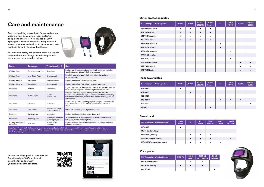## **Care and maintenance**

Every day welding sparks, heat, fumes, and normal wear-and-tear grind away at your protection equipment. Therefore, we designed all 3M™ Speedglas™ Personal Protective Equipment with ease of maintenance in mind. All replacement parts can be installed by hand, without tools.



For maximum safety and comfort, make it a regular habit to check and change the following items at the intervals recommended below.



| <b>System</b>                       | <b>Component</b>              | <b>Typically replaced</b>                  | <b>Notes</b>                                                                                                                                                                                                            |
|-------------------------------------|-------------------------------|--------------------------------------------|-------------------------------------------------------------------------------------------------------------------------------------------------------------------------------------------------------------------------|
| <b>Welding Filters</b>              | <b>Outer Protection Plate</b> | Once a week                                | Replace anytime the plate becomes deeply pitted, scratched or<br>too dirty to clean with soft cloth or lens paper.                                                                                                      |
| <b>Welding Filters</b>              | Inner Cover Plate             | Once a month                               | Regularly clean with a soft cloth and replace if any pits or<br>scratches occur.                                                                                                                                        |
| <b>Welding Helmets</b>              | <b>Visor Plate</b>            | Every two weeks                            | Replace more often if visibility is reduced.                                                                                                                                                                            |
| <b>Welding Helmets</b>              | Sweatband                     | Once a month                               | Replace more often if sweatband becomes unhygienic.                                                                                                                                                                     |
| Respirators                         | Prefilter                     | Once a week                                | Regular replacement of the prefilter extends the life of the particle<br>filter, saving money while also helping the battery run-time.                                                                                  |
| Respirators                         | <b>Particle Filter</b>        | At least<br>every month                    | For Adflo respirator, replace when particle fillter indicator<br>becomes red. Otherwise, replace whenever the battery operating<br>time becomes too short, or when "fully loaded" filter triggers low<br>airflow alarm. |
| Respirators                         | <b>Gas Filter</b>             | As needed                                  | Replace the gas filter according to your work place requirements.<br>It is not recommended to wait until you can sense odours or<br>smells.                                                                             |
| Respirators                         | Odour filter                  | Any time you smell<br>unpleasant odours    | Odour filter is not required if gas filter is used.                                                                                                                                                                     |
| Respirators                         | Spark arrestor                | As needed                                  | Replace if deformed and no longer fitting well.                                                                                                                                                                         |
| Respirators                         | <b>Breathing Tube</b>         | If damaged, deformed<br>or leaking any air | To extend the life of the breathing tube, use a tube cover or a<br>heavy-duty rubber breathing tube.                                                                                                                    |
| Welding Helmets with<br>Respirators | <b>Face Seal</b>              | At least every<br>2 months                 | Replace earlier in really dirty environments or whenever the seal<br>becomes unhygienic.                                                                                                                                |

Important information. Note that higher-than-normal levels of pollutants, heat, and sparks will require more frequent replacement of components. Chart assumes minimum 4 hours usage per day. Ordering information for each series of welding helmet can be found in the Parts Directory.

Learn more about product maintenance from Speedglas YouTube channel! Scan the QR code or visit **youtube.com/3MSpeedglas.**





### **Outer protection plates**

### **Inner cover plates**

### **Visor plates**

| 3M™ Speedglas™ Welding Filter | 9100V     | 9100X     | 9100XX<br>9100XXi | 9100<br><b>Passive</b> | <b>SL</b> | <b>100V</b><br><b>100S</b> | 9002V | 9002NC<br>9002X |
|-------------------------------|-----------|-----------|-------------------|------------------------|-----------|----------------------------|-------|-----------------|
| #52 60 00 standard            | $\bullet$ | $\bullet$ | $\bullet$         |                        |           |                            |       |                 |
| #52 70 00 scratch             | $\bullet$ | $\bullet$ | $\bullet$         |                        |           |                            |       |                 |
| #52 70 01 scratch+            | $\bullet$ | $\bullet$ | $\bullet$         | $\bullet$              |           |                            |       |                 |
| #52 70 70 heat+               | $\bullet$ | $\bullet$ | $\bullet$         |                        |           |                            |       |                 |
| #72 60 00 standard            |           |           |                   |                        | $\bullet$ |                            |       |                 |
| #72 70 00 scratch             |           |           |                   |                        |           |                            |       |                 |
| #77 60 00 standard            |           |           |                   |                        |           | $\bullet$                  |       |                 |
| #77 70 00 scratch             |           |           |                   |                        |           | $\bullet$                  |       |                 |
| #77 70 70 heat+               |           |           |                   |                        |           | $\bullet$                  |       |                 |
| #42 60 00 standard            |           |           |                   |                        |           |                            |       | $\bullet$       |
| #42 70 00 scratch             |           |           |                   |                        |           |                            |       |                 |
| #42 70 71 heat+               |           |           |                   |                        |           |                            |       |                 |

| 3M™ Speedglas™ Welding Filter | 9100V     | 9100X     | 9100XX<br>9100XXi | 9100<br><b>Passive</b> | <b>SL</b> | <b>100V</b><br><b>100S</b> | 9002V     | 9002NC<br>9002X |
|-------------------------------|-----------|-----------|-------------------|------------------------|-----------|----------------------------|-----------|-----------------|
| #52 80 05                     | $\bullet$ |           |                   |                        |           |                            |           |                 |
| #52 80 15                     |           | $\bullet$ |                   |                        |           |                            |           |                 |
| #52 80 25                     |           |           | $\bullet$         |                        |           |                            |           |                 |
| #42 80 00                     |           |           |                   |                        | $\bullet$ | $\bullet$                  | $\bullet$ |                 |
| #42 80 10                     |           |           |                   |                        |           |                            |           |                 |
| #12 60 00                     |           |           |                   | $\bullet$              |           |                            |           |                 |

| 3M™ Speedglas™ Welding Helmet | 9100 FX   | 9100<br><b>FX-Air</b> | 9100 MP<br>9100 MP-Lite | 9000<br><b>FlexView</b> |
|-------------------------------|-----------|-----------------------|-------------------------|-------------------------|
| #52 30 00 standard            |           | $\bullet$             | ٠                       |                         |
| #52 30 01 anti-fog            | $\bullet$ | $\bullet$             | $\bullet$               |                         |
| #42 30 00                     |           |                       |                         |                         |

### **Sweatband**

| 3M™ Speedglas™ Welding Helmet    | 9100<br><b>Series</b> | <b>SL</b> | 100 <sub>o</sub><br><b>Series</b> | 9000<br>9002NC | <b>DIN 5</b><br><b>Visor</b> | Versaflo<br><b>M-Series</b> |
|----------------------------------|-----------------------|-----------|-----------------------------------|----------------|------------------------------|-----------------------------|
| #16 80 15                        | ٠                     |           |                                   |                |                              |                             |
| #16 75 20 (towelling)            |                       | $\bullet$ | $\bullet$                         | $\bullet$      |                              |                             |
| #16 80 00 (leather)              |                       | $\bullet$ | $\bullet$                         | $\bullet$      |                              |                             |
| #16 80 10 (fleecy cotton)        |                       |           | $\bullet$                         | $\bullet$      |                              | $\bullet$                   |
| #16 80 12 (fleecy cotton, short) |                       | $\bullet$ | ٠                                 | ٠              | $\bullet$                    |                             |